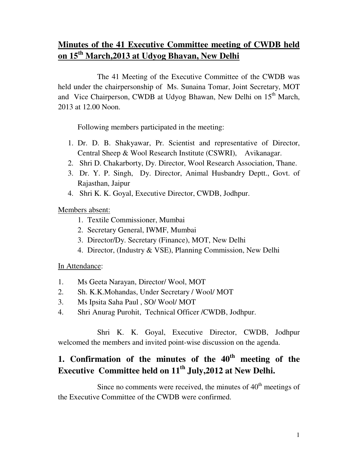# **Minutes of the 41 Executive Committee meeting of CWDB held on 15th March,2013 at Udyog Bhavan, New Delhi**

 The 41 Meeting of the Executive Committee of the CWDB was held under the chairpersonship of Ms. Sunaina Tomar, Joint Secretary, MOT and Vice Chairperson, CWDB at Udyog Bhawan, New Delhi on 15<sup>th</sup> March, 2013 at 12.00 Noon.

Following members participated in the meeting:

- 1. Dr. D. B. Shakyawar, Pr. Scientist and representative of Director, Central Sheep & Wool Research Institute (CSWRI), Avikanagar.
- 2. Shri D. Chakarborty, Dy. Director, Wool Research Association, Thane.
- 3. Dr. Y. P. Singh, Dy. Director, Animal Husbandry Deptt., Govt. of Rajasthan, Jaipur
- 4. Shri K. K. Goyal, Executive Director, CWDB, Jodhpur.

Members absent:

- 1. Textile Commissioner, Mumbai
- 2. Secretary General, IWMF, Mumbai
- 3. Director/Dy. Secretary (Finance), MOT, New Delhi
- 4. Director, (Industry & VSE), Planning Commission, New Delhi

#### In Attendance:

- 1. Ms Geeta Narayan, Director/ Wool, MOT
- 2. Sh. K.K.Mohandas, Under Secretary / Wool/ MOT
- 3. Ms Ipsita Saha Paul , SO/ Wool/ MOT
- 4. Shri Anurag Purohit, Technical Officer /CWDB, Jodhpur.

 Shri K. K. Goyal, Executive Director, CWDB, Jodhpur welcomed the members and invited point-wise discussion on the agenda.

# **1. Confirmation of the minutes of the 40th meeting of the Executive Committee held on 11th July,2012 at New Delhi.**

Since no comments were received, the minutes of  $40<sup>th</sup>$  meetings of the Executive Committee of the CWDB were confirmed.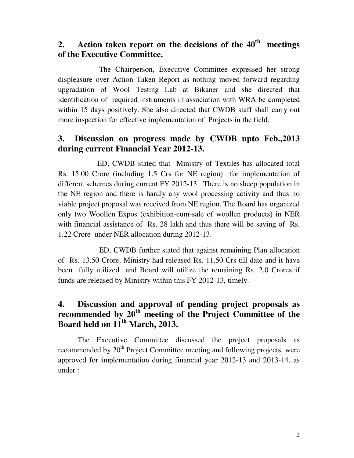## **2. Action taken report on the decisions of the 40th meetings of the Executive Committee.**

 The Chairperson, Executive Committee expressed her strong displeasure over Action Taken Report as nothing moved forward regarding upgradation of Wool Testing Lab at Bikaner and she directed that identification of required instruments in association with WRA be completed within 15 days positively. She also directed that CWDB staff shall carry out more inspection for effective implementation of Projects in the field.

## **3. Discussion on progress made by CWDB upto Feb.,2013 during current Financial Year 2012-13.**

 ED, CWDB stated that Ministry of Textiles has allocated total Rs. 15.00 Crore (including 1.5 Crs for NE region) for implementation of different schemes during current FY 2012-13. There is no sheep population in the NE region and there is hardly any wool processing activity and thus no viable project proposal was received from NE region. The Board has organized only two Woollen Expos (exhibition-cum-sale of woollen products) in NER with financial assistance of Rs. 28 lakh and thus there will be saving of Rs. 1.22 Crore under NER allocation during 2012-13.

 ED, CWDB further stated that against remaining Plan allocation of Rs. 13.50 Crore, Ministry had released Rs. 11.50 Crs till date and it have been fully utilized and Board will utilize the remaining Rs. 2.0 Crores if funds are released by Ministry within this FY 2012-13, timely.

## **4. Discussion and approval of pending project proposals as recommended by 20th meeting of the Project Committee of the Board held on 11th March, 2013.**

 The Executive Committee discussed the project proposals as recommended by  $20<sup>th</sup>$  Project Committee meeting and following projects were approved for implementation during financial year 2012-13 and 2013-14, as under :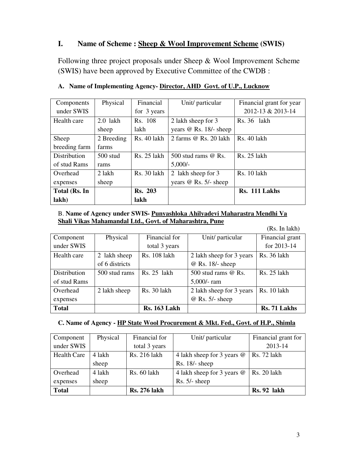## **I. Name of Scheme : Sheep & Wool Improvement Scheme (SWIS)**

Following three project proposals under Sheep & Wool Improvement Scheme (SWIS) have been approved by Executive Committee of the CWDB :

| Components    | Physical   | Financial      | Unit/ particular        | Financial grant for year |
|---------------|------------|----------------|-------------------------|--------------------------|
| under SWIS    |            | for 3 years    |                         | 2012-13 & 2013-14        |
| Health care   | $2.0$ lakh | Rs. 108        | 2 lakh sheep for 3      | Rs. 36 lakh              |
|               | sheep      | lakh           | years @ Rs. 18/- sheep  |                          |
| Sheep         | 2 Breeding | Rs. 40 lakh    | 2 farms @ Rs. 20 lakh   | Rs. 40 lakh              |
| breeding farm | farms      |                |                         |                          |
| Distribution  | $500$ stud | Rs. 25 lakh    | 500 stud rams $@$ Rs.   | Rs. 25 lakh              |
| of stud Rams  | rams       |                | $5,000/-$               |                          |
| Overhead      | 2 lakh     | Rs. 30 lakh    | 2 lakh sheep for 3      | Rs. 10 lakh              |
| expenses      | sheep      |                | years $@$ Rs. 5/- sheep |                          |
| Total (Rs. In |            | <b>Rs. 203</b> |                         | Rs. 111 Lakhs            |
| lakh)         |            | lakh           |                         |                          |

#### **A. Name of Implementing Agency- Director, AHD Govt. of U.P., Lucknow**

#### B. **Name of Agency under SWIS- Punyashloka Ahilyadevi Maharastra Mendhi Va Shali Vikas Mahamandal Ltd., Govt. of Maharashtra, Pune**

|              |                |                     |                          | (Rs. In lak)       |
|--------------|----------------|---------------------|--------------------------|--------------------|
| Component    | Physical       | Financial for       | Unit/ particular         | Financial grant    |
| under SWIS   |                | total 3 years       |                          | for 2013-14        |
| Health care  | 2 lakh sheep   | Rs. 108 lakh        | 2 lakh sheep for 3 years | Rs. 36 lakh        |
|              | of 6 districts |                     | @ Rs. 18/- sheep         |                    |
| Distribution | 500 stud rams  | $Rs. 25$ lakh       | 500 stud rams $@$ Rs.    | <b>Rs. 25 lakh</b> |
| of stud Rams |                |                     | $5,000$ /-ram            |                    |
| Overhead     | 2 lakh sheep   | Rs. 30 lakh         | 2 lakh sheep for 3 years | Rs. 10 lakh        |
| expenses     |                |                     | $@$ Rs. 5/- sheep        |                    |
| <b>Total</b> |                | <b>Rs. 163 Lakh</b> |                          | Rs. 71 Lakhs       |

#### **C. Name of Agency - HP State Wool Procurement & Mkt. Fed., Govt. of H.P., Shimla**

| Component          | Physical | Financial for       | Unit/ particular           | Financial grant for |
|--------------------|----------|---------------------|----------------------------|---------------------|
| under SWIS         |          | total 3 years       |                            | 2013-14             |
| <b>Health Care</b> | 4 lakh   | Rs. 216 lakh        | 4 lakh sheep for 3 years @ | Rs. 72 lakh         |
|                    | sheep    |                     | $Rs. 18/- sheep$           |                     |
| Overhead           | 4 lakh   | Rs. 60 lakh         | 4 lakh sheep for 3 years @ | <b>Rs. 20 lakh</b>  |
| expenses           | sheep    |                     | $Rs. 5/- sheep$            |                     |
| <b>Total</b>       |          | <b>Rs. 276 lakh</b> |                            | <b>Rs. 92 lakh</b>  |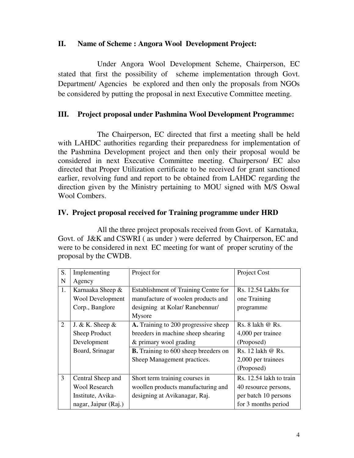## **II. Name of Scheme : Angora Wool Development Project:**

 Under Angora Wool Development Scheme, Chairperson, EC stated that first the possibility of scheme implementation through Govt. Department/ Agencies be explored and then only the proposals from NGOs be considered by putting the proposal in next Executive Committee meeting.

## **III. Project proposal under Pashmina Wool Development Programme:**

 The Chairperson, EC directed that first a meeting shall be held with LAHDC authorities regarding their preparedness for implementation of the Pashmina Development project and then only their proposal would be considered in next Executive Committee meeting. Chairperson/ EC also directed that Proper Utilization certificate to be received for grant sanctioned earlier, revolving fund and report to be obtained from LAHDC regarding the direction given by the Ministry pertaining to MOU signed with M/S Oswal Wool Combers.

### **IV. Project proposal received for Training programme under HRD**

 All the three project proposals received from Govt. of Karnataka, Govt. of J&K and CSWRI ( as under ) were deferred by Chairperson, EC and were to be considered in next EC meeting for want of proper scrutiny of the proposal by the CWDB.

| S. | Implementing            | Project for                                 | Project Cost            |
|----|-------------------------|---------------------------------------------|-------------------------|
| N  | Agency                  |                                             |                         |
| 1. | Karnaaka Sheep &        | <b>Establishment of Training Centre for</b> | Rs. 12.54 Lakhs for     |
|    | <b>Wool Development</b> | manufacture of woolen products and          | one Training            |
|    | Corp., Banglore         | designing at Kolar/Ranebennur/              | programme               |
|    |                         | Mysore                                      |                         |
| 2  | J. & K. Sheep $&$       | A. Training to 200 progressive sheep        | Rs. 8 lakh @ Rs.        |
|    | Sheep Product           | breeders in machine sheep shearing          | 4,000 per trainee       |
|    | Development             | & primary wool grading                      | (Proposed)              |
|    | Board, Srinagar         | <b>B.</b> Training to 600 sheep breeders on | Rs. 12 lakh @ Rs.       |
|    |                         | Sheep Management practices.                 | 2,000 per trainees      |
|    |                         |                                             | (Proposed)              |
| 3  | Central Sheep and       | Short term training courses in              | Rs. 12.54 lakh to train |
|    | <b>Wool Research</b>    | woollen products manufacturing and          | 40 resource persons,    |
|    | Institute, Avika-       | designing at Avikanagar, Raj.               | per batch 10 persons    |
|    | nagar, Jaipur (Raj.)    |                                             | for 3 months period     |